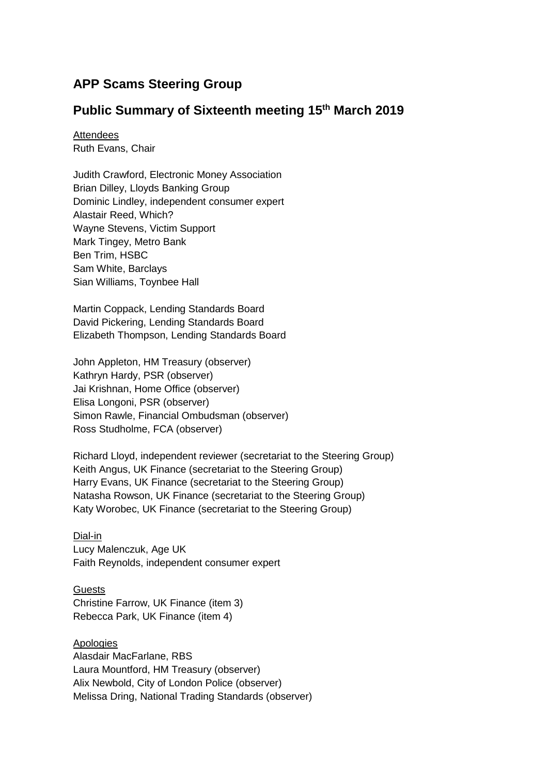# **APP Scams Steering Group**

## **Public Summary of Sixteenth meeting 15th March 2019**

**Attendees** Ruth Evans, Chair

Judith Crawford, Electronic Money Association Brian Dilley, Lloyds Banking Group Dominic Lindley, independent consumer expert Alastair Reed, Which? Wayne Stevens, Victim Support Mark Tingey, Metro Bank Ben Trim, HSBC Sam White, Barclays Sian Williams, Toynbee Hall

Martin Coppack, Lending Standards Board David Pickering, Lending Standards Board Elizabeth Thompson, Lending Standards Board

John Appleton, HM Treasury (observer) Kathryn Hardy, PSR (observer) Jai Krishnan, Home Office (observer) Elisa Longoni, PSR (observer) Simon Rawle, Financial Ombudsman (observer) Ross Studholme, FCA (observer)

Richard Lloyd, independent reviewer (secretariat to the Steering Group) Keith Angus, UK Finance (secretariat to the Steering Group) Harry Evans, UK Finance (secretariat to the Steering Group) Natasha Rowson, UK Finance (secretariat to the Steering Group) Katy Worobec, UK Finance (secretariat to the Steering Group)

Dial-in Lucy Malenczuk, Age UK Faith Reynolds, independent consumer expert

**Guests** Christine Farrow, UK Finance (item 3) Rebecca Park, UK Finance (item 4)

Apologies Alasdair MacFarlane, RBS Laura Mountford, HM Treasury (observer) Alix Newbold, City of London Police (observer) Melissa Dring, National Trading Standards (observer)